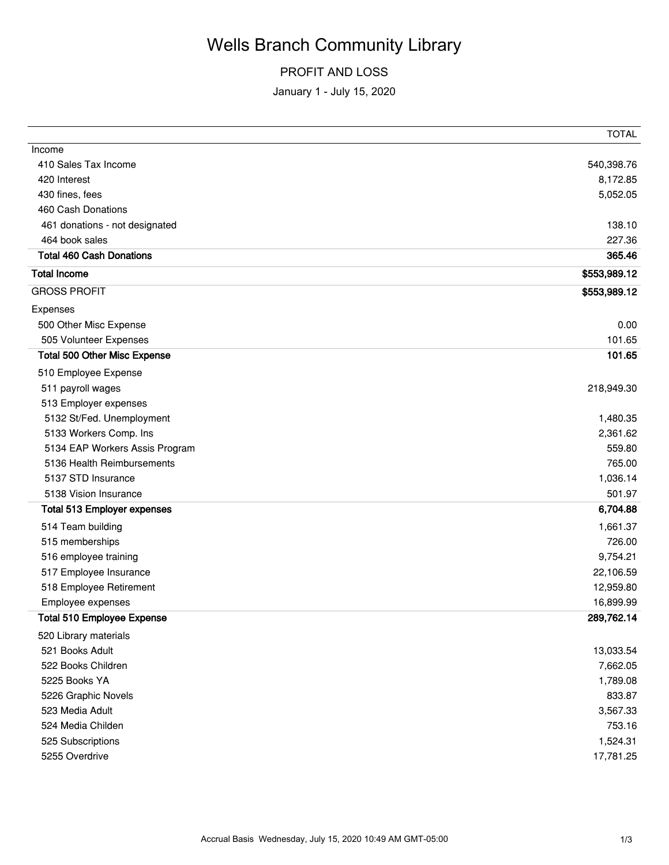# Wells Branch Community Library

### PROFIT AND LOSS

January 1 - July 15, 2020

|                                     | <b>TOTAL</b> |
|-------------------------------------|--------------|
| Income                              |              |
| 410 Sales Tax Income                | 540,398.76   |
| 420 Interest                        | 8,172.85     |
| 430 fines, fees                     | 5,052.05     |
| 460 Cash Donations                  |              |
| 461 donations - not designated      | 138.10       |
| 464 book sales                      | 227.36       |
| <b>Total 460 Cash Donations</b>     | 365.46       |
| <b>Total Income</b>                 | \$553,989.12 |
| <b>GROSS PROFIT</b>                 | \$553,989.12 |
| Expenses                            |              |
| 500 Other Misc Expense              | 0.00         |
| 505 Volunteer Expenses              | 101.65       |
| <b>Total 500 Other Misc Expense</b> | 101.65       |
| 510 Employee Expense                |              |
| 511 payroll wages                   | 218,949.30   |
| 513 Employer expenses               |              |
| 5132 St/Fed. Unemployment           | 1,480.35     |
| 5133 Workers Comp. Ins              | 2,361.62     |
| 5134 EAP Workers Assis Program      | 559.80       |
| 5136 Health Reimbursements          | 765.00       |
| 5137 STD Insurance                  | 1,036.14     |
| 5138 Vision Insurance               | 501.97       |
| <b>Total 513 Employer expenses</b>  | 6,704.88     |
| 514 Team building                   | 1,661.37     |
| 515 memberships                     | 726.00       |
| 516 employee training               | 9,754.21     |
| 517 Employee Insurance              | 22,106.59    |
| 518 Employee Retirement             | 12,959.80    |
| Employee expenses                   | 16,899.99    |
| <b>Total 510 Employee Expense</b>   | 289,762.14   |
| 520 Library materials               |              |
| 521 Books Adult                     | 13,033.54    |
| 522 Books Children                  | 7,662.05     |
| 5225 Books YA                       | 1,789.08     |
| 5226 Graphic Novels                 | 833.87       |
| 523 Media Adult                     | 3,567.33     |
| 524 Media Childen                   | 753.16       |
| 525 Subscriptions                   | 1,524.31     |
| 5255 Overdrive                      | 17,781.25    |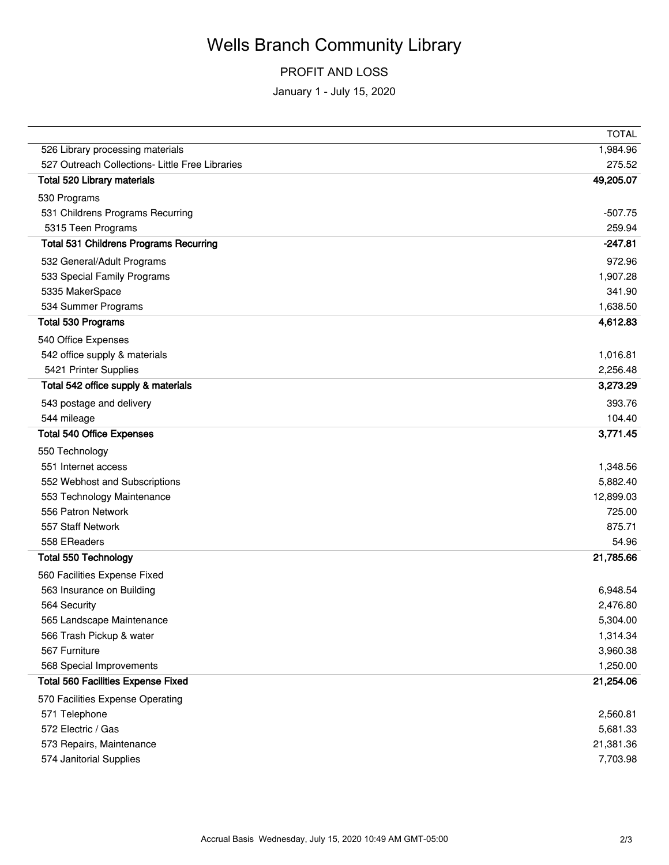# Wells Branch Community Library

### PROFIT AND LOSS

January 1 - July 15, 2020

|                                                 | <b>TOTAL</b> |
|-------------------------------------------------|--------------|
| 526 Library processing materials                | 1,984.96     |
| 527 Outreach Collections- Little Free Libraries | 275.52       |
| Total 520 Library materials                     | 49,205.07    |
| 530 Programs                                    |              |
| 531 Childrens Programs Recurring                | $-507.75$    |
| 5315 Teen Programs                              | 259.94       |
| <b>Total 531 Childrens Programs Recurring</b>   | $-247.81$    |
| 532 General/Adult Programs                      | 972.96       |
| 533 Special Family Programs                     | 1,907.28     |
| 5335 MakerSpace                                 | 341.90       |
| 534 Summer Programs                             | 1,638.50     |
| <b>Total 530 Programs</b>                       | 4,612.83     |
| 540 Office Expenses                             |              |
| 542 office supply & materials                   | 1,016.81     |
| 5421 Printer Supplies                           | 2,256.48     |
| Total 542 office supply & materials             | 3,273.29     |
| 543 postage and delivery                        | 393.76       |
| 544 mileage                                     | 104.40       |
| <b>Total 540 Office Expenses</b>                | 3,771.45     |
| 550 Technology                                  |              |
| 551 Internet access                             | 1,348.56     |
| 552 Webhost and Subscriptions                   | 5,882.40     |
| 553 Technology Maintenance                      | 12,899.03    |
| 556 Patron Network                              | 725.00       |
| 557 Staff Network                               | 875.71       |
| 558 EReaders                                    | 54.96        |
| <b>Total 550 Technology</b>                     | 21,785.66    |
| 560 Facilities Expense Fixed                    |              |
| 563 Insurance on Building                       | 6,948.54     |
| 564 Security                                    | 2,476.80     |
| 565 Landscape Maintenance                       | 5,304.00     |
| 566 Trash Pickup & water                        | 1,314.34     |
| 567 Furniture                                   | 3,960.38     |
| 568 Special Improvements                        | 1,250.00     |
| <b>Total 560 Facilities Expense Fixed</b>       | 21,254.06    |
| 570 Facilities Expense Operating                |              |
| 571 Telephone                                   | 2,560.81     |
| 572 Electric / Gas                              | 5,681.33     |
| 573 Repairs, Maintenance                        | 21,381.36    |
| 574 Janitorial Supplies                         | 7,703.98     |